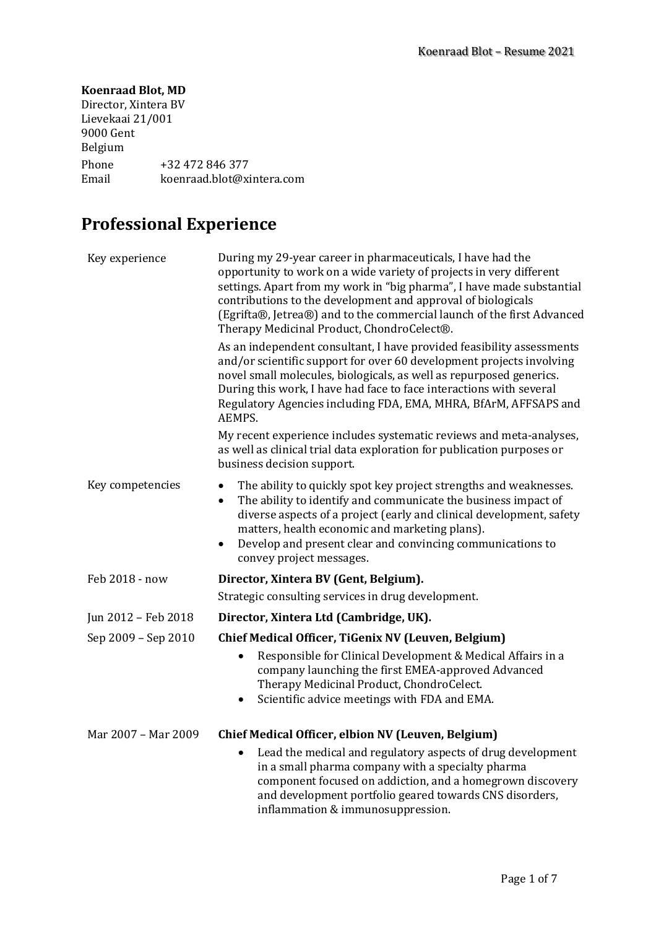#### **Koenraad Blot, MD**

Director, Xintera BV Lievekaai 21/001 9000 Gent Belgium Phone +32 472 846 377<br>Email koenraad.blot@xi koenraad.blot@xintera.com

# **Professional Experience**

| Key experience      | During my 29-year career in pharmaceuticals, I have had the<br>opportunity to work on a wide variety of projects in very different<br>settings. Apart from my work in "big pharma", I have made substantial<br>contributions to the development and approval of biologicals<br>(Egrifta®, Jetrea®) and to the commercial launch of the first Advanced<br>Therapy Medicinal Product, ChondroCelect®. |
|---------------------|-----------------------------------------------------------------------------------------------------------------------------------------------------------------------------------------------------------------------------------------------------------------------------------------------------------------------------------------------------------------------------------------------------|
|                     | As an independent consultant, I have provided feasibility assessments<br>and/or scientific support for over 60 development projects involving<br>novel small molecules, biologicals, as well as repurposed generics.<br>During this work, I have had face to face interactions with several<br>Regulatory Agencies including FDA, EMA, MHRA, BfArM, AFFSAPS and<br>AEMPS.                           |
|                     | My recent experience includes systematic reviews and meta-analyses,<br>as well as clinical trial data exploration for publication purposes or<br>business decision support.                                                                                                                                                                                                                         |
| Key competencies    | The ability to quickly spot key project strengths and weaknesses.<br>$\bullet$<br>The ability to identify and communicate the business impact of<br>$\bullet$<br>diverse aspects of a project (early and clinical development, safety<br>matters, health economic and marketing plans).<br>Develop and present clear and convincing communications to<br>$\bullet$<br>convey project messages.      |
| Feb 2018 - now      | Director, Xintera BV (Gent, Belgium).                                                                                                                                                                                                                                                                                                                                                               |
|                     | Strategic consulting services in drug development.                                                                                                                                                                                                                                                                                                                                                  |
| Jun 2012 - Feb 2018 | Director, Xintera Ltd (Cambridge, UK).                                                                                                                                                                                                                                                                                                                                                              |
| Sep 2009 - Sep 2010 | Chief Medical Officer, TiGenix NV (Leuven, Belgium)                                                                                                                                                                                                                                                                                                                                                 |
|                     | Responsible for Clinical Development & Medical Affairs in a<br>company launching the first EMEA-approved Advanced<br>Therapy Medicinal Product, ChondroCelect.<br>Scientific advice meetings with FDA and EMA.<br>$\bullet$                                                                                                                                                                         |
| Mar 2007 - Mar 2009 | Chief Medical Officer, elbion NV (Leuven, Belgium)                                                                                                                                                                                                                                                                                                                                                  |
|                     | Lead the medical and regulatory aspects of drug development<br>$\bullet$<br>in a small pharma company with a specialty pharma<br>component focused on addiction, and a homegrown discovery<br>and development portfolio geared towards CNS disorders,<br>inflammation & immunosuppression.                                                                                                          |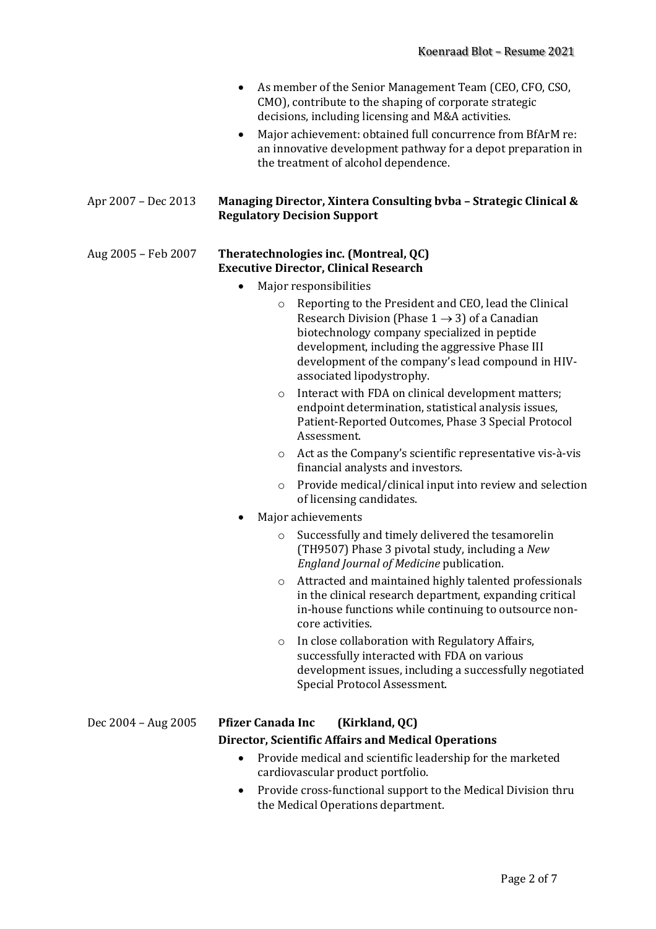- As member of the Senior Management Team (CEO, CFO, CSO, CMO), contribute to the shaping of corporate strategic decisions, including licensing and M&A activities.
- Major achievement: obtained full concurrence from BfArM re: an innovative development pathway for a depot preparation in the treatment of alcohol dependence.

#### **Apr** 2007 – Dec 2013 Managing Director, Xintera Consulting byba – Strategic Clinical & **Regulatory Decision Support**

#### Aug 2005 - Feb 2007 Theratechnologies inc. (Montreal, QC) **Executive Director, Clinical Research**

- Major responsibilities
	- $\circ$  Reporting to the President and CEO, lead the Clinical Research Division (Phase  $1 \rightarrow 3$ ) of a Canadian biotechnology company specialized in peptide development, including the aggressive Phase III development of the company's lead compound in HIVassociated lipodystrophy.
	- $\circ$  Interact with FDA on clinical development matters; endpoint determination, statistical analysis issues, Patient-Reported Outcomes, Phase 3 Special Protocol Assessment.
	- $\circ$  Act as the Company's scientific representative vis-à-vis financial analysts and investors.
	- $\circ$  Provide medical/clinical input into review and selection of licensing candidates.
- Major achievements
	- Successfully and timely delivered the tesamorelin (TH9507) Phase 3 pivotal study, including a *New England Journal of Medicine* publication.
	- o Attracted and maintained highly talented professionals in the clinical research department, expanding critical in-house functions while continuing to outsource noncore activities.
	- $\circ$  In close collaboration with Regulatory Affairs, successfully interacted with FDA on various development issues, including a successfully negotiated Special Protocol Assessment.

### Dec 2004 – Aug 2005 **Pfizer Canada Inc (Kirkland, QC)**

### **Director, Scientific Affairs and Medical Operations**

- Provide medical and scientific leadership for the marketed cardiovascular product portfolio.
- Provide cross-functional support to the Medical Division thru the Medical Operations department.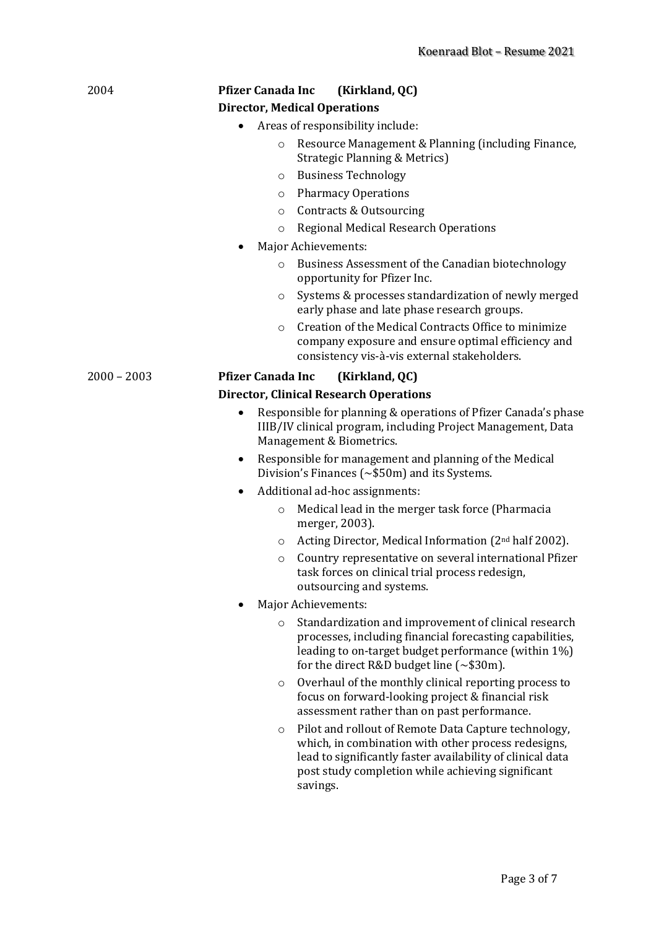| 2004          | <b>Pfizer Canada Inc</b><br>(Kirkland, QC)                                                                                                                                                                                                            |  |
|---------------|-------------------------------------------------------------------------------------------------------------------------------------------------------------------------------------------------------------------------------------------------------|--|
|               | <b>Director, Medical Operations</b>                                                                                                                                                                                                                   |  |
|               | Areas of responsibility include:<br>٠                                                                                                                                                                                                                 |  |
|               | Resource Management & Planning (including Finance,<br>$\circ$<br><b>Strategic Planning &amp; Metrics)</b>                                                                                                                                             |  |
|               | <b>Business Technology</b><br>O                                                                                                                                                                                                                       |  |
|               | <b>Pharmacy Operations</b><br>O                                                                                                                                                                                                                       |  |
|               | Contracts & Outsourcing<br>$\circ$                                                                                                                                                                                                                    |  |
|               | Regional Medical Research Operations<br>$\circ$                                                                                                                                                                                                       |  |
|               | <b>Major Achievements:</b>                                                                                                                                                                                                                            |  |
|               | Business Assessment of the Canadian biotechnology<br>$\circ$<br>opportunity for Pfizer Inc.                                                                                                                                                           |  |
|               | Systems & processes standardization of newly merged<br>$\circ$<br>early phase and late phase research groups.                                                                                                                                         |  |
|               | Creation of the Medical Contracts Office to minimize<br>$\Omega$<br>company exposure and ensure optimal efficiency and<br>consistency vis-à-vis external stakeholders.                                                                                |  |
| $2000 - 2003$ | <b>Pfizer Canada Inc</b><br>(Kirkland, QC)                                                                                                                                                                                                            |  |
|               | <b>Director, Clinical Research Operations</b>                                                                                                                                                                                                         |  |
|               | Responsible for planning & operations of Pfizer Canada's phase<br>$\bullet$<br>IIIB/IV clinical program, including Project Management, Data<br>Management & Biometrics.                                                                               |  |
|               | Responsible for management and planning of the Medical<br>Division's Finances ( $\sim$ \$50m) and its Systems.                                                                                                                                        |  |
|               | Additional ad-hoc assignments:                                                                                                                                                                                                                        |  |
|               | Medical lead in the merger task force (Pharmacia<br>$\circ$<br>merger, 2003).                                                                                                                                                                         |  |
|               | Acting Director, Medical Information (2 <sup>nd</sup> half 2002).<br>O                                                                                                                                                                                |  |
|               | Country representative on several international Pfizer<br>O<br>task forces on clinical trial process redesign,<br>outsourcing and systems.                                                                                                            |  |
|               | Major Achievements:                                                                                                                                                                                                                                   |  |
|               | Standardization and improvement of clinical research<br>$\circ$<br>processes, including financial forecasting capabilities,<br>leading to on-target budget performance (within 1%)<br>for the direct R&D budget line $(\sim $30 \text{m})$ .          |  |
|               | Overhaul of the monthly clinical reporting process to<br>$\circ$<br>focus on forward-looking project & financial risk<br>assessment rather than on past performance.                                                                                  |  |
|               | Pilot and rollout of Remote Data Capture technology,<br>$\circ$<br>which, in combination with other process redesigns,<br>lead to significantly faster availability of clinical data<br>post study completion while achieving significant<br>savings. |  |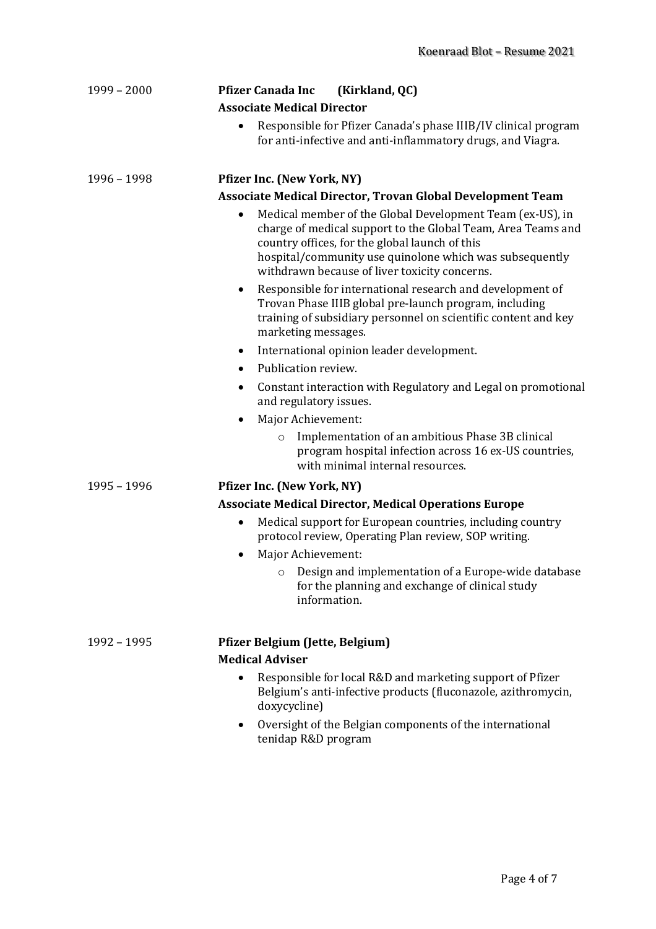| $1999 - 2000$ | <b>Pfizer Canada Inc</b><br>(Kirkland, QC)                                                                                                                                                                                                                                                           |
|---------------|------------------------------------------------------------------------------------------------------------------------------------------------------------------------------------------------------------------------------------------------------------------------------------------------------|
|               | <b>Associate Medical Director</b>                                                                                                                                                                                                                                                                    |
|               | Responsible for Pfizer Canada's phase IIIB/IV clinical program<br>for anti-infective and anti-inflammatory drugs, and Viagra.                                                                                                                                                                        |
| $1996 - 1998$ | <b>Pfizer Inc. (New York, NY)</b>                                                                                                                                                                                                                                                                    |
|               | Associate Medical Director, Trovan Global Development Team                                                                                                                                                                                                                                           |
|               | Medical member of the Global Development Team (ex-US), in<br>$\bullet$<br>charge of medical support to the Global Team, Area Teams and<br>country offices, for the global launch of this<br>hospital/community use quinolone which was subsequently<br>withdrawn because of liver toxicity concerns. |
|               | Responsible for international research and development of<br>٠<br>Trovan Phase IIIB global pre-launch program, including<br>training of subsidiary personnel on scientific content and key<br>marketing messages.                                                                                    |
|               | International opinion leader development.<br>$\bullet$                                                                                                                                                                                                                                               |
|               | Publication review.<br>$\bullet$                                                                                                                                                                                                                                                                     |
|               | Constant interaction with Regulatory and Legal on promotional<br>٠<br>and regulatory issues.                                                                                                                                                                                                         |
|               | Major Achievement:                                                                                                                                                                                                                                                                                   |
|               | Implementation of an ambitious Phase 3B clinical<br>$\circ$<br>program hospital infection across 16 ex-US countries,<br>with minimal internal resources.                                                                                                                                             |
| $1995 - 1996$ | <b>Pfizer Inc. (New York, NY)</b>                                                                                                                                                                                                                                                                    |
|               | <b>Associate Medical Director, Medical Operations Europe</b>                                                                                                                                                                                                                                         |
|               | Medical support for European countries, including country<br>$\bullet$<br>protocol review, Operating Plan review, SOP writing.                                                                                                                                                                       |
|               | Major Achievement:<br>$\bullet$                                                                                                                                                                                                                                                                      |
|               | Design and implementation of a Europe-wide database<br>O<br>for the planning and exchange of clinical study<br>information.                                                                                                                                                                          |
| 1992 - 1995   | Pfizer Belgium (Jette, Belgium)<br><b>Medical Adviser</b>                                                                                                                                                                                                                                            |
|               | Responsible for local R&D and marketing support of Pfizer<br>Belgium's anti-infective products (fluconazole, azithromycin,<br>doxycycline)                                                                                                                                                           |
|               | Oversight of the Belgian components of the international<br>tenidap R&D program                                                                                                                                                                                                                      |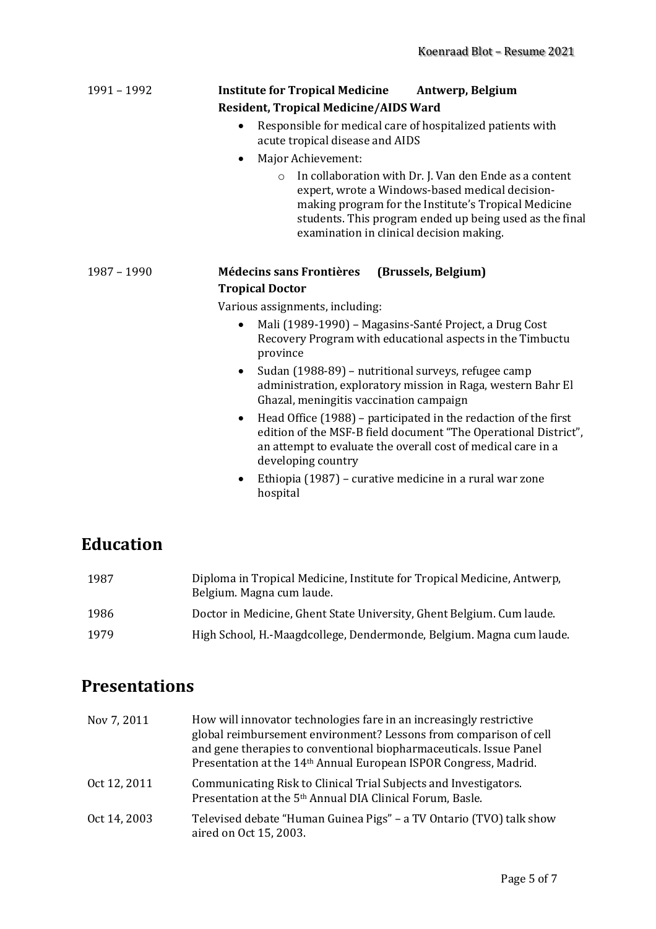| 1991 – 1992 | <b>Institute for Tropical Medicine</b> | Antwerp, Belgium |
|-------------|----------------------------------------|------------------|
|             | Resident, Tropical Medicine/AIDS Ward  |                  |

- Responsible for medical care of hospitalized patients with acute tropical disease and AIDS
- Major Achievement:
	- $\circ$  In collaboration with Dr. J. Van den Ende as a content expert, wrote a Windows-based medical decisionmaking program for the Institute's Tropical Medicine students. This program ended up being used as the final examination in clinical decision making.

### 1987 – 1990 **Médecins sans Frontières (Brussels, Belgium) Tropical Doctor**

Various assignments, including:

- Mali (1989-1990) Magasins-Santé Project, a Drug Cost Recovery Program with educational aspects in the Timbuctu province
- Sudan (1988-89) nutritional surveys, refugee camp administration, exploratory mission in Raga, western Bahr El Ghazal, meningitis vaccination campaign
- Head Office  $(1988)$  participated in the redaction of the first edition of the MSF-B field document "The Operational District", an attempt to evaluate the overall cost of medical care in a developing country
- Ethiopia (1987) curative medicine in a rural war zone hospital

## **Education**

| 1987 | Diploma in Tropical Medicine, Institute for Tropical Medicine, Antwerp,<br>Belgium. Magna cum laude. |
|------|------------------------------------------------------------------------------------------------------|
| 1986 | Doctor in Medicine, Ghent State University, Ghent Belgium. Cum laude.                                |
| 1979 | High School, H.-Maagdcollege, Dendermonde, Belgium. Magna cum laude.                                 |

## **Presentations**

| Nov 7, 2011  | How will innovator technologies fare in an increasingly restrictive<br>global reimbursement environment? Lessons from comparison of cell<br>and gene therapies to conventional biopharmaceuticals. Issue Panel<br>Presentation at the 14 <sup>th</sup> Annual European ISPOR Congress, Madrid. |
|--------------|------------------------------------------------------------------------------------------------------------------------------------------------------------------------------------------------------------------------------------------------------------------------------------------------|
| Oct 12, 2011 | Communicating Risk to Clinical Trial Subjects and Investigators.<br>Presentation at the 5 <sup>th</sup> Annual DIA Clinical Forum, Basle.                                                                                                                                                      |
| Oct 14, 2003 | Televised debate "Human Guinea Pigs" - a TV Ontario (TVO) talk show<br>aired on Oct 15, 2003.                                                                                                                                                                                                  |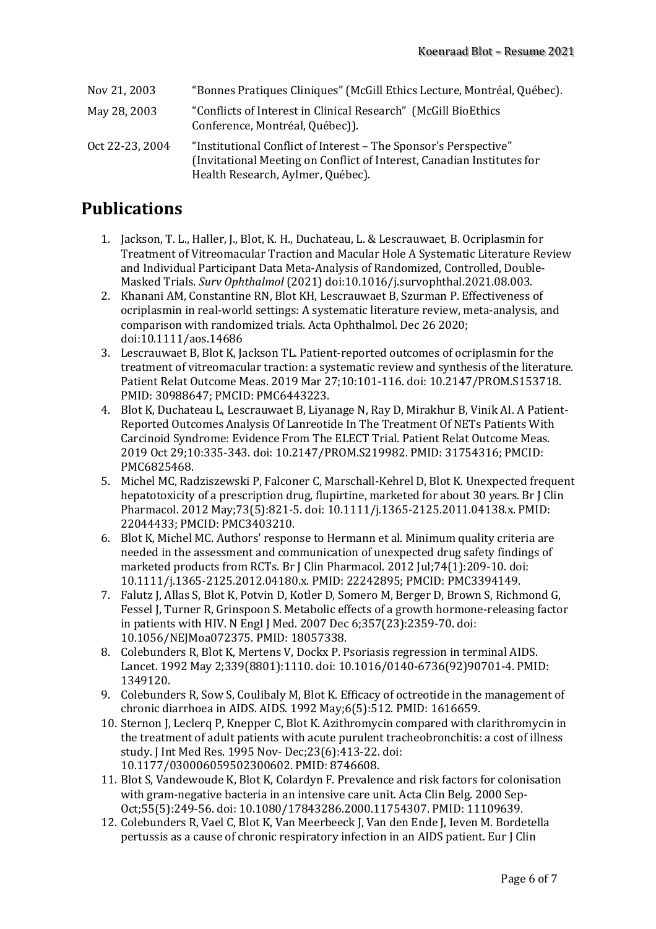| Nov 21, 2003    | "Bonnes Pratiques Cliniques" (McGill Ethics Lecture, Montréal, Québec).                                                                                                         |
|-----------------|---------------------------------------------------------------------------------------------------------------------------------------------------------------------------------|
| May 28, 2003    | "Conflicts of Interest in Clinical Research" (McGill BioEthics<br>Conference, Montréal, Québec)).                                                                               |
| Oct 22-23, 2004 | "Institutional Conflict of Interest - The Sponsor's Perspective"<br>(Invitational Meeting on Conflict of Interest, Canadian Institutes for<br>Health Research, Aylmer, Québec). |

## **Publications**

- 1. Jackson, T. L., Haller, J., Blot, K. H., Duchateau, L. & Lescrauwaet, B. Ocriplasmin for Treatment of Vitreomacular Traction and Macular Hole A Systematic Literature Review and Individual Participant Data Meta-Analysis of Randomized, Controlled, Double-Masked Trials. *Surv Ophthalmol* (2021) doi:10.1016/j.survophthal.2021.08.003.
- 2. Khanani AM, Constantine RN, Blot KH, Lescrauwaet B, Szurman P. Effectiveness of ocriplasmin in real-world settings: A systematic literature review, meta-analysis, and comparison with randomized trials. Acta Ophthalmol. Dec 26 2020; doi:10.1111/aos.14686
- 3. Lescrauwaet B, Blot K, Jackson TL. Patient-reported outcomes of ocriplasmin for the treatment of vitreomacular traction: a systematic review and synthesis of the literature. Patient Relat Outcome Meas. 2019 Mar 27:10:101-116. doi: 10.2147/PROM.S153718. PMID: 30988647; PMCID: PMC6443223.
- 4. Blot K, Duchateau L, Lescrauwaet B, Liyanage N, Ray D, Mirakhur B, Vinik AI. A Patient-Reported Outcomes Analysis Of Lanreotide In The Treatment Of NETs Patients With Carcinoid Syndrome: Evidence From The ELECT Trial. Patient Relat Outcome Meas. 2019 Oct 29;10:335-343. doi: 10.2147/PROM.S219982. PMID: 31754316; PMCID: PMC6825468.
- 5. Michel MC, Radziszewski P, Falconer C, Marschall-Kehrel D, Blot K. Unexpected frequent hepatotoxicity of a prescription drug, flupirtine, marketed for about 30 years. Br J Clin Pharmacol. 2012 May;73(5):821-5. doi: 10.1111/j.1365-2125.2011.04138.x. PMID: 22044433; PMCID: PMC3403210.
- 6. Blot K, Michel MC. Authors' response to Hermann et al. Minimum quality criteria are needed in the assessment and communication of unexpected drug safety findings of marketed products from RCTs. Br J Clin Pharmacol. 2012 Jul;74(1):209-10. doi: 10.1111/j.1365-2125.2012.04180.x. PMID: 22242895; PMCID: PMC3394149.
- 7. Falutz J, Allas S, Blot K, Potvin D, Kotler D, Somero M, Berger D, Brown S, Richmond G, Fessel J, Turner R, Grinspoon S. Metabolic effects of a growth hormone-releasing factor in patients with HIV. N Engl J Med.  $2007$  Dec  $6;357(23):2359-70$ . doi: 10.1056/NEIMoa072375. PMID: 18057338.
- 8. Colebunders R, Blot K, Mertens V, Dockx P. Psoriasis regression in terminal AIDS. Lancet. 1992 May 2;339(8801):1110. doi: 10.1016/0140-6736(92)90701-4. PMID: 1349120.
- 9. Colebunders R, Sow S, Coulibaly M, Blot K. Efficacy of octreotide in the management of chronic diarrhoea in AIDS. AIDS. 1992 May;6(5):512. PMID: 1616659.
- 10. Sternon J, Leclerq P, Knepper C, Blot K. Azithromycin compared with clarithromycin in the treatment of adult patients with acute purulent tracheobronchitis: a cost of illness study. J Int Med Res. 1995 Nov- Dec; 23(6): 413-22. doi: 10.1177/030006059502300602. PMID: 8746608.
- 11. Blot S, Vandewoude K, Blot K, Colardyn F. Prevalence and risk factors for colonisation with gram-negative bacteria in an intensive care unit. Acta Clin Belg. 2000 Sep-Oct:55(5):249-56. doi: 10.1080/17843286.2000.11754307. PMID: 11109639.
- 12. Colebunders R, Vael C, Blot K, Van Meerbeeck J, Van den Ende J, Ieven M. Bordetella pertussis as a cause of chronic respiratory infection in an AIDS patient. Eur J Clin